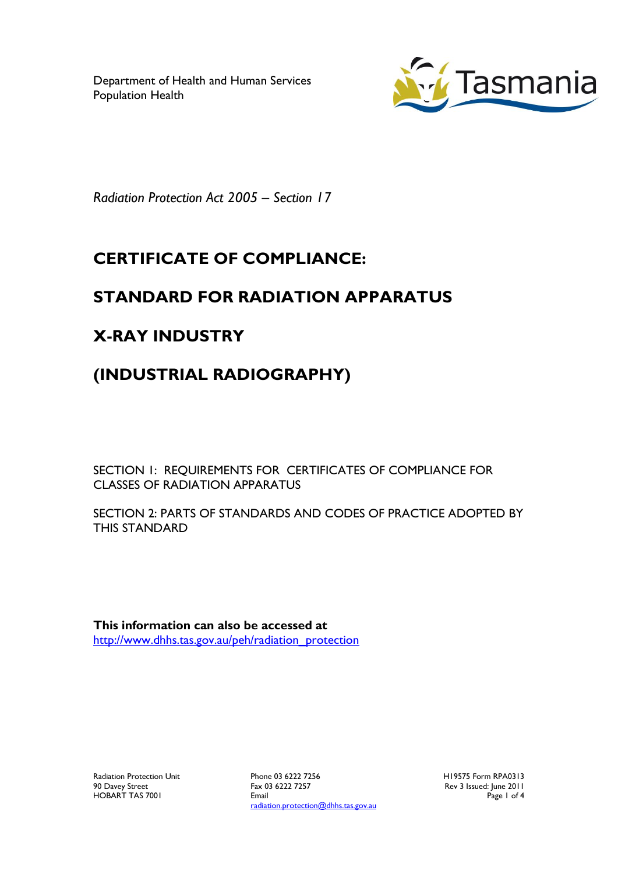Department of Health and Human Services Population Health



*Radiation Protection Act 2005 – Section 17*

# **CERTIFICATE OF COMPLIANCE:**

## **STANDARD FOR RADIATION APPARATUS**

## **X-RAY INDUSTRY**

## **(INDUSTRIAL RADIOGRAPHY)**

SECTION 1: REQUIREMENTS FOR CERTIFICATES OF COMPLIANCE FOR CLASSES OF RADIATION APPARATUS

SECTION 2: PARTS OF STANDARDS AND CODES OF PRACTICE ADOPTED BY THIS STANDARD

**This information can also be accessed at** [http://www.dhhs.tas.gov.au/peh/radiation\\_protection](http://www.dhhs.tas.gov.au/peh/radiation_protection)

Radiation Protection Unit 90 Davey Street HOBART TAS 7001

Phone 03 6222 7256 Fax 03 6222 7257 Email radiation.protection@dhhs.tas.gov.au H19575 Form RPA0313 Rev 3 Issued: June 2011 Page 1 of 4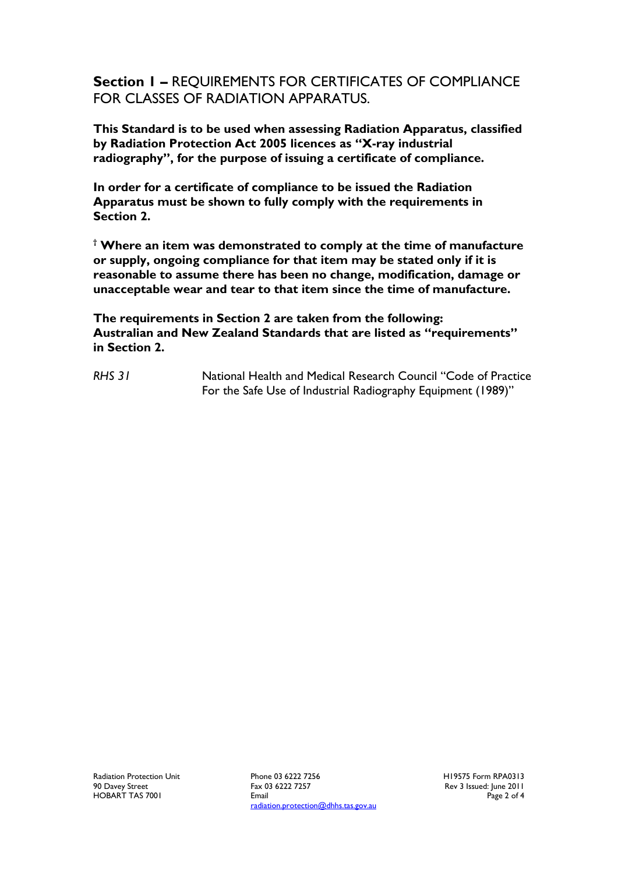**Section 1 –** REQUIREMENTS FOR CERTIFICATES OF COMPLIANCE FOR CLASSES OF RADIATION APPARATUS.

**This Standard is to be used when assessing Radiation Apparatus, classified by Radiation Protection Act 2005 licences as "X-ray industrial radiography", for the purpose of issuing a certificate of compliance.**

**In order for a certificate of compliance to be issued the Radiation Apparatus must be shown to fully comply with the requirements in Section 2.**

**† Where an item was demonstrated to comply at the time of manufacture or supply, ongoing compliance for that item may be stated only if it is reasonable to assume there has been no change, modification, damage or unacceptable wear and tear to that item since the time of manufacture.**

**The requirements in Section 2 are taken from the following: Australian and New Zealand Standards that are listed as "requirements" in Section 2.**

*RHS 31* National Health and Medical Research Council "Code of Practice For the Safe Use of Industrial Radiography Equipment (1989)"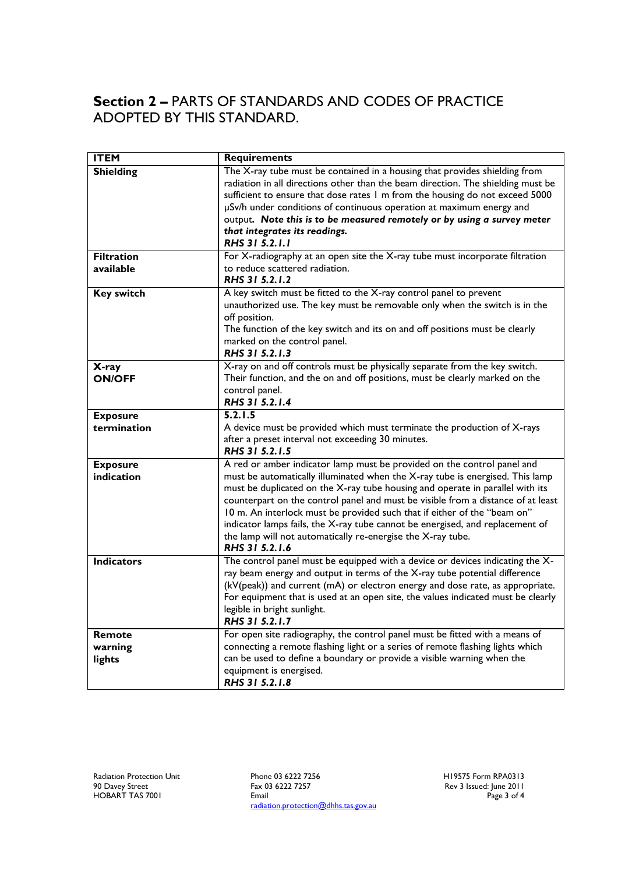### **Section 2 –** PARTS OF STANDARDS AND CODES OF PRACTICE ADOPTED BY THIS STANDARD.

| <b>ITEM</b>                   | <b>Requirements</b>                                                                                                                                                                                                                                                                                                                                                                                                                                                                                                                                                         |
|-------------------------------|-----------------------------------------------------------------------------------------------------------------------------------------------------------------------------------------------------------------------------------------------------------------------------------------------------------------------------------------------------------------------------------------------------------------------------------------------------------------------------------------------------------------------------------------------------------------------------|
| <b>Shielding</b>              | The X-ray tube must be contained in a housing that provides shielding from<br>radiation in all directions other than the beam direction. The shielding must be<br>sufficient to ensure that dose rates 1 m from the housing do not exceed 5000<br>µSv/h under conditions of continuous operation at maximum energy and<br>output. Note this is to be measured remotely or by using a survey meter<br>that integrates its readings.<br>RHS 31 5.2.1.1                                                                                                                        |
| <b>Filtration</b>             | For X-radiography at an open site the X-ray tube must incorporate filtration                                                                                                                                                                                                                                                                                                                                                                                                                                                                                                |
| available                     | to reduce scattered radiation.<br>RHS 31 5.2.1.2                                                                                                                                                                                                                                                                                                                                                                                                                                                                                                                            |
| <b>Key switch</b>             | A key switch must be fitted to the X-ray control panel to prevent<br>unauthorized use. The key must be removable only when the switch is in the<br>off position.<br>The function of the key switch and its on and off positions must be clearly<br>marked on the control panel.<br>RHS 31 5.2.1.3                                                                                                                                                                                                                                                                           |
| X-ray<br><b>ON/OFF</b>        | X-ray on and off controls must be physically separate from the key switch.<br>Their function, and the on and off positions, must be clearly marked on the<br>control panel.<br>RHS 31 5.2.1.4                                                                                                                                                                                                                                                                                                                                                                               |
| <b>Exposure</b>               | 5.2.1.5                                                                                                                                                                                                                                                                                                                                                                                                                                                                                                                                                                     |
| termination                   | A device must be provided which must terminate the production of X-rays<br>after a preset interval not exceeding 30 minutes.<br>RHS 31 5.2.1.5                                                                                                                                                                                                                                                                                                                                                                                                                              |
| <b>Exposure</b><br>indication | A red or amber indicator lamp must be provided on the control panel and<br>must be automatically illuminated when the X-ray tube is energised. This lamp<br>must be duplicated on the X-ray tube housing and operate in parallel with its<br>counterpart on the control panel and must be visible from a distance of at least<br>10 m. An interlock must be provided such that if either of the "beam on"<br>indicator lamps fails, the X-ray tube cannot be energised, and replacement of<br>the lamp will not automatically re-energise the X-ray tube.<br>RHS 31 5.2.1.6 |
| <b>Indicators</b>             | The control panel must be equipped with a device or devices indicating the X-<br>ray beam energy and output in terms of the X-ray tube potential difference<br>(kV(peak)) and current (mA) or electron energy and dose rate, as appropriate.<br>For equipment that is used at an open site, the values indicated must be clearly<br>legible in bright sunlight.<br>RHS 31 5.2.1.7                                                                                                                                                                                           |
| Remote<br>warning<br>lights   | For open site radiography, the control panel must be fitted with a means of<br>connecting a remote flashing light or a series of remote flashing lights which<br>can be used to define a boundary or provide a visible warning when the<br>equipment is energised.<br>RHS 31 5.2.1.8                                                                                                                                                                                                                                                                                        |

Phone 03 6222 7256 Fax 03 6222 7257 Email radiation.protection@dhhs.tas.gov.au